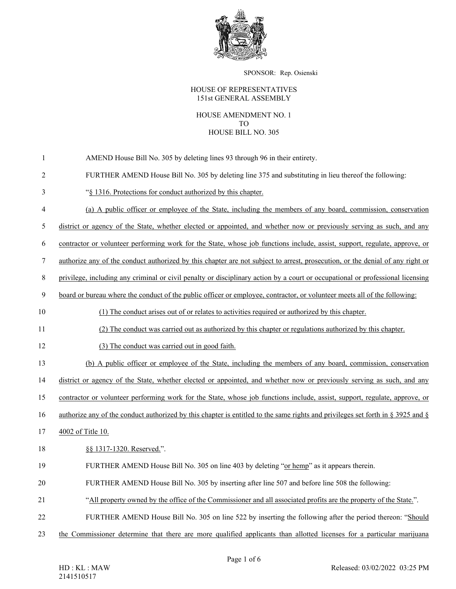

SPONSOR: Rep. Osienski

## HOUSE OF REPRESENTATIVES 151st GENERAL ASSEMBLY

## HOUSE AMENDMENT NO. 1 TO HOUSE BILL NO. 305

- 1 AMEND House Bill No. 305 by deleting lines 93 through 96 in their entirety.
- 2 FURTHER AMEND House Bill No. 305 by deleting line 375 and substituting in lieu thereof the following:
- 3 "§ 1316. Protections for conduct authorized by this chapter.
- 4 (a) A public officer or employee of the State, including the members of any board, commission, conservation

5 district or agency of the State, whether elected or appointed, and whether now or previously serving as such, and any

6 contractor or volunteer performing work for the State, whose job functions include, assist, support, regulate, approve, or

7 authorize any of the conduct authorized by this chapter are not subject to arrest, prosecution, or the denial of any right or

8 privilege, including any criminal or civil penalty or disciplinary action by a court or occupational or professional licensing

9 board or bureau where the conduct of the public officer or employee, contractor, or volunteer meets all of the following:

- 10 (1) The conduct arises out of or relates to activities required or authorized by this chapter.
- 11 (2) The conduct was carried out as authorized by this chapter or regulations authorized by this chapter.
- 12 (3) The conduct was carried out in good faith.

13 (b) A public officer or employee of the State, including the members of any board, commission, conservation

14 district or agency of the State, whether elected or appointed, and whether now or previously serving as such, and any

15 contractor or volunteer performing work for the State, whose job functions include, assist, support, regulate, approve, or

16 authorize any of the conduct authorized by this chapter is entitled to the same rights and privileges set forth in § 3925 and §

- 17 4002 of Title 10.
- 18 §§ 1317-1320. Reserved.".
- 19 FURTHER AMEND House Bill No. 305 on line 403 by deleting "or hemp" as it appears therein.
- 20 FURTHER AMEND House Bill No. 305 by inserting after line 507 and before line 508 the following:
- 21 "All property owned by the office of the Commissioner and all associated profits are the property of the State.".
- 22 FURTHER AMEND House Bill No. 305 on line 522 by inserting the following after the period thereon: "Should
- 23 the Commissioner determine that there are more qualified applicants than allotted licenses for a particular marijuana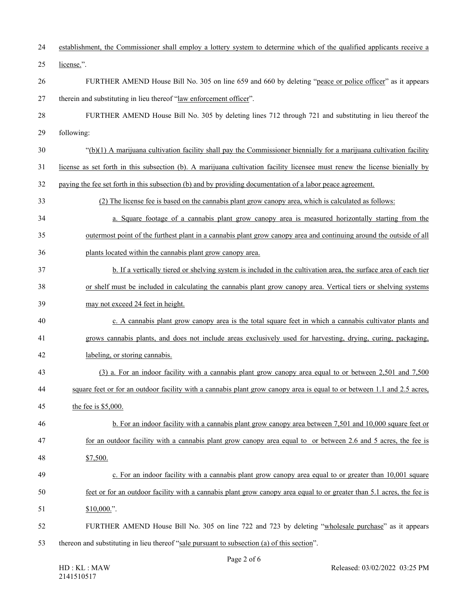| 24 | establishment, the Commissioner shall employ a lottery system to determine which of the qualified applicants receive a       |
|----|------------------------------------------------------------------------------------------------------------------------------|
| 25 | license.".                                                                                                                   |
| 26 | FURTHER AMEND House Bill No. 305 on line 659 and 660 by deleting "peace or police officer" as it appears                     |
| 27 | therein and substituting in lieu thereof "law enforcement officer".                                                          |
| 28 | FURTHER AMEND House Bill No. 305 by deleting lines 712 through 721 and substituting in lieu thereof the                      |
| 29 | following:                                                                                                                   |
| 30 | $\degree$ (b)(1) A marijuana cultivation facility shall pay the Commissioner biennially for a marijuana cultivation facility |
| 31 | license as set forth in this subsection (b). A marijuana cultivation facility licensee must renew the license bienially by   |
| 32 | paying the fee set forth in this subsection (b) and by providing documentation of a labor peace agreement.                   |
| 33 | (2) The license fee is based on the cannabis plant grow canopy area, which is calculated as follows:                         |
| 34 | a. Square footage of a cannabis plant grow can opy area is measured horizontally starting from the                           |
| 35 | outermost point of the furthest plant in a cannabis plant grow canopy area and continuing around the outside of all          |
| 36 | plants located within the cannabis plant grow canopy area.                                                                   |
| 37 | b. If a vertically tiered or shelving system is included in the cultivation area, the surface area of each tier              |
| 38 | or shelf must be included in calculating the cannabis plant grow canopy area. Vertical tiers or shelving systems             |
| 39 | may not exceed 24 feet in height.                                                                                            |
| 40 | c. A cannabis plant grow can opy area is the total square feet in which a cannabis cultivator plants and                     |
| 41 | grows cannabis plants, and does not include areas exclusively used for harvesting, drying, curing, packaging,                |
| 42 | labeling, or storing cannabis.                                                                                               |
| 43 | (3) a. For an indoor facility with a cannabis plant grow canopy area equal to or between 2,501 and 7,500                     |
| 44 | square feet or for an outdoor facility with a cannabis plant grow can opy area is equal to or between 1.1 and 2.5 acres,     |
| 45 | the fee is $$5,000$ .                                                                                                        |
| 46 | b. For an indoor facility with a cannabis plant grow can opy area between 7,501 and 10,000 square feet or                    |
| 47 | for an outdoor facility with a cannabis plant grow can opy area equal to or between 2.6 and 5 acres, the fee is              |
| 48 | \$7,500.                                                                                                                     |
| 49 | c. For an indoor facility with a cannabis plant grow canopy area equal to or greater than 10,001 square                      |
| 50 | feet or for an outdoor facility with a cannabis plant grow canopy area equal to or greater than 5.1 acres, the fee is        |
| 51 | $$10,000."$ .                                                                                                                |
| 52 | FURTHER AMEND House Bill No. 305 on line 722 and 723 by deleting "wholesale purchase" as it appears                          |
| 53 | thereon and substituting in lieu thereof "sale pursuant to subsection (a) of this section".                                  |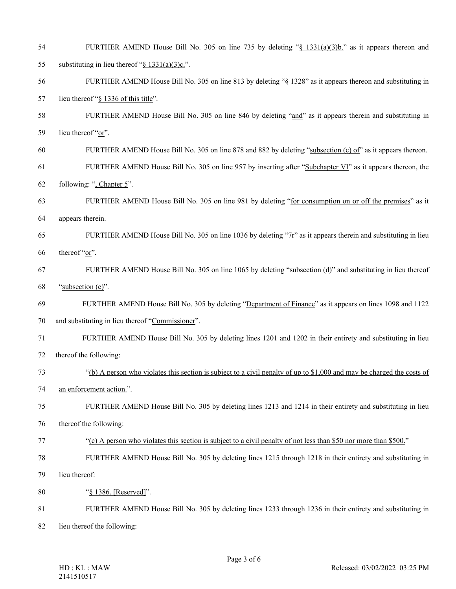| 54 | FURTHER AMEND House Bill No. 305 on line 735 by deleting "§ 1331(a)(3)b." as it appears thereon and                    |
|----|------------------------------------------------------------------------------------------------------------------------|
| 55 | substituting in lieu thereof " $§ 1331(a)(3)c$ .".                                                                     |
| 56 | FURTHER AMEND House Bill No. 305 on line 813 by deleting "§ 1328" as it appears thereon and substituting in            |
| 57 | lieu thereof "§ 1336 of this title".                                                                                   |
| 58 | FURTHER AMEND House Bill No. 305 on line 846 by deleting "and" as it appears therein and substituting in               |
| 59 | lieu thereof "or".                                                                                                     |
| 60 | FURTHER AMEND House Bill No. 305 on line 878 and 882 by deleting "subsection (c) of" as it appears thereon.            |
| 61 | FURTHER AMEND House Bill No. 305 on line 957 by inserting after "Subchapter VI" as it appears thereon, the             |
| 62 | following: ", Chapter 5".                                                                                              |
| 63 | FURTHER AMEND House Bill No. 305 on line 981 by deleting "for consumption on or off the premises" as it                |
| 64 | appears therein.                                                                                                       |
| 65 | FURTHER AMEND House Bill No. 305 on line 1036 by deleting " $Tr$ " as it appears therein and substituting in lieu      |
| 66 | thereof "or".                                                                                                          |
| 67 | FURTHER AMEND House Bill No. 305 on line 1065 by deleting "subsection (d)" and substituting in lieu thereof            |
| 68 | "subsection (c)".                                                                                                      |
| 69 | FURTHER AMEND House Bill No. 305 by deleting "Department of Finance" as it appears on lines 1098 and 1122              |
| 70 | and substituting in lieu thereof "Commissioner".                                                                       |
| 71 | FURTHER AMEND House Bill No. 305 by deleting lines 1201 and 1202 in their entirety and substituting in lieu            |
| 72 | thereof the following:                                                                                                 |
| 73 | "(b) A person who violates this section is subject to a civil penalty of up to \$1,000 and may be charged the costs of |
| 74 | an enforcement action.".                                                                                               |
| 75 | FURTHER AMEND House Bill No. 305 by deleting lines 1213 and 1214 in their entirety and substituting in lieu            |
| 76 | thereof the following:                                                                                                 |
| 77 | "(c) A person who violates this section is subject to a civil penalty of not less than \$50 nor more than \$500."      |
| 78 | FURTHER AMEND House Bill No. 305 by deleting lines 1215 through 1218 in their entirety and substituting in             |
| 79 | lieu thereof:                                                                                                          |
| 80 | "§ 1386. [Reserved]".                                                                                                  |
| 81 | FURTHER AMEND House Bill No. 305 by deleting lines 1233 through 1236 in their entirety and substituting in             |
| 82 | lieu thereof the following:                                                                                            |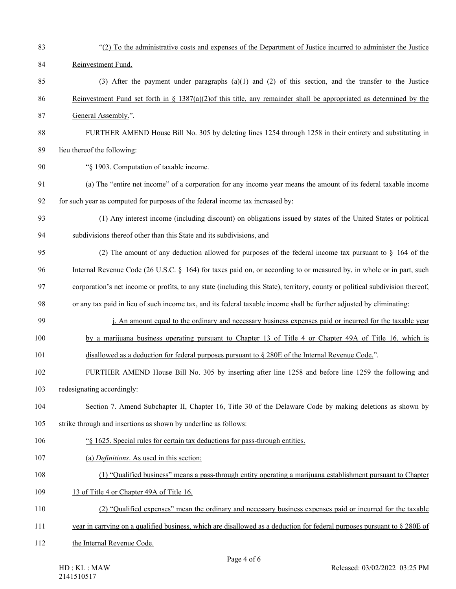| 83  | "(2) To the administrative costs and expenses of the Department of Justice incurred to administer the Justice                 |
|-----|-------------------------------------------------------------------------------------------------------------------------------|
| 84  | Reinvestment Fund.                                                                                                            |
| 85  | (3) After the payment under paragraphs $(a)(1)$ and $(2)$ of this section, and the transfer to the Justice                    |
| 86  | Reinvestment Fund set forth in § 1387(a)(2)of this title, any remainder shall be appropriated as determined by the            |
| 87  | General Assembly.".                                                                                                           |
| 88  | FURTHER AMEND House Bill No. 305 by deleting lines 1254 through 1258 in their entirety and substituting in                    |
| 89  | lieu thereof the following:                                                                                                   |
| 90  | "§ 1903. Computation of taxable income.                                                                                       |
| 91  | (a) The "entire net income" of a corporation for any income year means the amount of its federal taxable income               |
| 92  | for such year as computed for purposes of the federal income tax increased by:                                                |
| 93  | (1) Any interest income (including discount) on obligations issued by states of the United States or political                |
| 94  | subdivisions thereof other than this State and its subdivisions, and                                                          |
| 95  | (2) The amount of any deduction allowed for purposes of the federal income tax pursuant to $\S$ 164 of the                    |
| 96  | Internal Revenue Code (26 U.S.C. § 164) for taxes paid on, or according to or measured by, in whole or in part, such          |
| 97  | corporation's net income or profits, to any state (including this State), territory, county or political subdivision thereof, |
| 98  | or any tax paid in lieu of such income tax, and its federal taxable income shall be further adjusted by eliminating:          |
| 99  | j. An amount equal to the ordinary and necessary business expenses paid or incurred for the taxable year                      |
| 100 | by a marijuana business operating pursuant to Chapter 13 of Title 4 or Chapter 49A of Title 16, which is                      |
| 101 | disallowed as a deduction for federal purposes pursuant to $\S 280E$ of the Internal Revenue Code.".                          |
| 102 | FURTHER AMEND House Bill No. 305 by inserting after line 1258 and before line 1259 the following and                          |
| 103 | redesignating accordingly:                                                                                                    |
| 104 | Section 7. Amend Subchapter II, Chapter 16, Title 30 of the Delaware Code by making deletions as shown by                     |
| 105 | strike through and insertions as shown by underline as follows:                                                               |
| 106 | "\\$ 1625. Special rules for certain tax deductions for pass-through entities.                                                |
| 107 | (a) Definitions. As used in this section:                                                                                     |
| 108 | (1) "Qualified business" means a pass-through entity operating a marijuana establishment pursuant to Chapter                  |
| 109 | 13 of Title 4 or Chapter 49A of Title 16.                                                                                     |
| 110 | (2) "Qualified expenses" mean the ordinary and necessary business expenses paid or incurred for the taxable                   |
| 111 | year in carrying on a qualified business, which are disallowed as a deduction for federal purposes pursuant to $\S 280E$ of   |
| 112 | the Internal Revenue Code.                                                                                                    |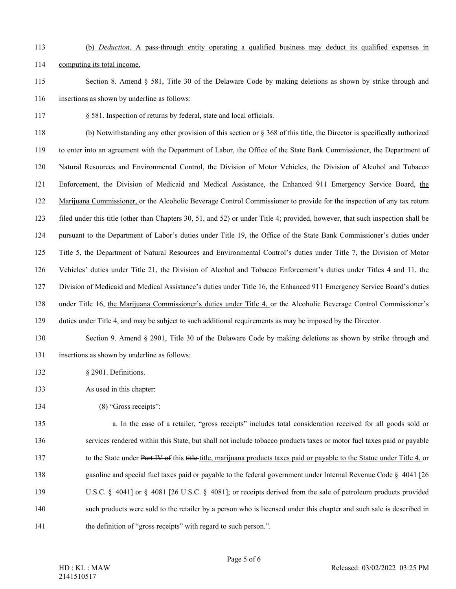## 113 (b) *Deduction*. A pass-through entity operating a qualified business may deduct its qualified expenses in

114 computing its total income.

115 Section 8. Amend § 581, Title 30 of the Delaware Code by making deletions as shown by strike through and 116 insertions as shown by underline as follows:

117 § 581. Inspection of returns by federal, state and local officials.

118 (b) Notwithstanding any other provision of this section or § 368 of this title, the Director is specifically authorized 119 to enter into an agreement with the Department of Labor, the Office of the State Bank Commissioner, the Department of 120 Natural Resources and Environmental Control, the Division of Motor Vehicles, the Division of Alcohol and Tobacco 121 Enforcement, the Division of Medicaid and Medical Assistance, the Enhanced 911 Emergency Service Board, the 122 Marijuana Commissioner, or the Alcoholic Beverage Control Commissioner to provide for the inspection of any tax return 123 filed under this title (other than Chapters 30, 51, and 52) or under Title 4; provided, however, that such inspection shall be 124 pursuant to the Department of Labor's duties under Title 19, the Office of the State Bank Commissioner's duties under 125 Title 5, the Department of Natural Resources and Environmental Control's duties under Title 7, the Division of Motor 126 Vehicles' duties under Title 21, the Division of Alcohol and Tobacco Enforcement's duties under Titles 4 and 11, the 127 Division of Medicaid and Medical Assistance's duties under Title 16, the Enhanced 911 Emergency Service Board's duties 128 under Title 16, the Marijuana Commissioner's duties under Title 4, or the Alcoholic Beverage Control Commissioner's 129 duties under Title 4, and may be subject to such additional requirements as may be imposed by the Director.

- 130 Section 9. Amend § 2901, Title 30 of the Delaware Code by making deletions as shown by strike through and
- 131 insertions as shown by underline as follows:
- 132 § 2901. Definitions.
- 133 As used in this chapter:
- 134 (8) "Gross receipts":

135 a. In the case of a retailer, "gross receipts" includes total consideration received for all goods sold or 136 services rendered within this State, but shall not include tobacco products taxes or motor fuel taxes paid or payable 137 to the State under Part IV of this title-title, marijuana products taxes paid or payable to the Statue under Title 4, or 138 gasoline and special fuel taxes paid or payable to the federal government under Internal Revenue Code § 4041 [26 139 U.S.C. § 4041] or § 4081 [26 U.S.C. § 4081]; or receipts derived from the sale of petroleum products provided 140 such products were sold to the retailer by a person who is licensed under this chapter and such sale is described in 141 the definition of "gross receipts" with regard to such person.".